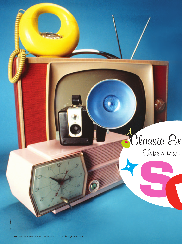# Ruessie Ex Take a low-t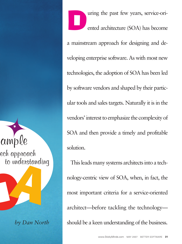ample ech approach to understanding

*by Dan North*

**D**uring the past few years, service-ori-<br>ented architecture (SOA) has become ented architecture (SOA) has become a mainstream approach for designing and developing enterprise software. As with most new technologies, the adoption of SOA has been led by software vendors and shaped by their particular tools and sales targets. Naturally it is in the vendors' interest to emphasize the complexity of SOA and then provide a timely and profitable solution.

This leads many systems architects into a technology-centric view of SOA, when, in fact, the most important criteria for a service-oriented architect—before tackling the technology should be a keen understanding of the business.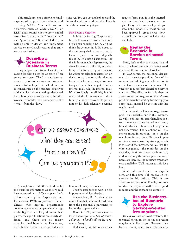This article presents a simple, technology-agnostic approach to designing and evolving SOAs. You will not see acronyms such as WSDL, SOAP, or REST, and I promise not to use technical terms like "orchestration," "realization," and "governance." Because of this, you will be able to design and implement service-oriented architectures that truly serve your business.

#### **Describe a Scenario in Business Terms**

Imagine you want to implement a vacation-booking service as part of an enterprise system. The first step is to remove any reference to computers or modern technology. This will allow you to concentrate on the business objectives of the service, without getting sidetracked by technological considerations. In other words, it enables you to separate the "what" from the "how."

exist yet. You can use a telephone and the internal mail but nothing else. Here is how the scenario might go:

#### *Bob Books a Vacation*

Bob works for Big Corporation, Inc. Bob wants to take a vacation. He's been working hard, and he thinks he deserves it. So Bob goes to the stationery shelf, takes an annual leave request form, and diligently fills it in. It's quite a basic form—he fills in his name, his department, the dates he wants to take off, and then he signs the form. For good measure, he writes his telephone extension on the bottom of the form. He takes the form to his line manager, who countersigns it, and then he puts it in the internal mail. Oh, the internal mail! It's notoriously unreliable, but he sends off the form anyway and offers up a silent prayer. He puts a note on his desk calendar to remind



A simple way to do this is to describe the business interactions as they would have occurred in a 1950s company. Let's call our company Big Corporation, Inc. It's a classic 1950s corporation—hierarchical, with myriad departments containing countless people who are cogs in the Big machine. They all know their places, their job functions are clearly defined, and there are no messy organizational boundaries. Remember, the job title "project manager" doesn't him to follow up in a week.

Then he gets back to work on his important administrative job.

A week later, Bob's calendar reminds him that he hasn't heard back from the personnel department, so he decides to phone them.

*Bob who? No, we don't have a leave request for you. Yes, of course I'd know—I handle all the leave requests. Sorry!*

Undeterred, Bob fills out another

request form, puts it in the internal mail, and gets back to work. A couple of days later an envelope drops into Bob's inbox. His vacation has been approved—great news!—now to book the hotel and tell the wife and kids.

#### **Replay the Scenario in Service-oriented Terms**

Now, let's replay this scenario and identify where services are being used and what the interactions look like.

In SOA terms, the personnel department is a service provider. One of its services is scheduling annual leave. Bob is a client or consumer of the service. The vacation request form describes a service contract. The filled-in form is then an asynchronous message—Bob doesn't suspend his activities waiting for the reply to come back; instead he gets on with his regular work.

The internal mail is a message transport—an unreliable one in this instance. Luckily, Bob has an error-handling protocol, namely a timeout. After a week, his calendar alerts him to call the personnel department. The telephone call is a synchronous interaction—he is on the telephone in real time. He then implements an error-correcting strategy, which is to resend the message. Notice that the whole sequence—the reminder on the calendar, the timeout, the telephone call, and resending the message—was only necessary because the message transport was unreliable. We'll return to this idea later.

A second asynchronous message is sent, and this time Bob receives a response in his inbox. This is an asynchronous response. Finally, Bob correlates the response with the original request, and the exchange is complete.

#### **Use the Businessbased Scenario to Explore Service-oriented Assumptions**

Unless you are an SOA veteran, the technical terms in the previous section may be unfamiliar to you. However, they have a direct, one-to-one relationship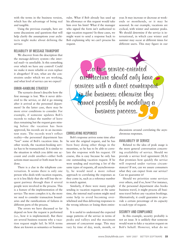with the terms in the business version, which has the advantage of being real and tangible.

Using the previous example, here are some discussions and questions that will help clarify the assumptions your architects might make about defining the service:

#### RELIABILITY OF MESSAGE TRANSPORT

We discover from the description that the message-delivery system—the internal mail—is unreliable. Is this something over which we have any control? Could we make it more reliable or even replace it altogether? If not, what are the constraints under which we are working, and what level of service can we expect?

#### ERROR-HANDLING STRATEGY

The scenario doesn't describe how the first message is lost. Was it never delivered to the service, or did it go missing after it arrived at the personnel department? In the latter case, there may be more error conditions to consider. For example, if someone updates Bob's records to reduce the number of leave days remaining but the request goes missing before the vacation has been approved, his records are in an inconsistent state. The records won't reflect reality—the personnel department has "lost" some of Bob's vacation time. In other words, the vacation-booking service has to be transactional. It is similar to the situation in which you debit one account and credit another—either both actions must succeed or both must be undone.

There is a clue in the telephone conversation. It seems there is only one person who deals with vacation requests, so it is less likely that she will lose the request partway through than if several people were involved in the process. This is a feature of the implementation of the service: The more complex it is, the more we need to consider transaction boundaries and the ramifications of failures in different parts of the process.

The errors we have discussed so far depend on how the request is performed (i.e., how it is implemented). But there are several business reasons why a vacation request might fail. In SOA terms these are known as semantics or business

rules. What if Bob already has used up his allowance or this request would take him over his limit? What if the manager who signed the form isn't authorized to sign vacation requests? In these cases, we might want to send a response back to Bob explaining why we can't process his request.

year. It may increase or decrease at weekends or monthends, or it may be seasonal. In our example, vacations are cyclical, with winter and summer peaks. We should determine if the service is international, in which case winter and summer may occur at different times for different users. This may figure in our

 $\dots a$  true service-oriented architecture should only have services with a direct counterpart **Lin**the business; otherwise they cannot possibly be modeling a business process.

#### CORRELATING RESPONSES

Bob's response arrives some time after he sent the original request, and he has been busy doing other things in the meantime, so he has to be able to correlate the response with his request. Of course, this is easy because he only has one outstanding vacation request. If he were sending and receiving a lot of the same types of requests, all asynchronously, he would need a more robust approach to correlating the responses as they come in, such as a reference number to match against.

Similarly, if there were many people sending in vacation requests at the same time, the internal mail system might need some help to avoid becoming overwhelmed and thus delivering responses to the wrong inboxes or losing them entirely.

It is useful to understand the expected usage patterns of the service in terms of peaks and valleys and the maximum amount of concurrent usage. This may vary by time of day, week, month, or

discussions around correlating the asynchronous responses.

#### AVAILABILITY OF SERVICE

Related to the idea of peak usage is the more general conversation concerning availability of service. Should we provide a service level agreement (SLA) that promises how quickly the service will respond under various circumstances? If not, can we assure consumers what they can expect from our service? Can we guarantee it?

Should we prioritize some services over others, and if so, how? For instance, if the personnel department also books business travel, it might process all business travel before any vacation bookings. Alternatively, it could guarantee to provide a certain percentage of its capacity to each type of request.

#### SECURITY AND COMPLIANCE

In this example, security probably is not an issue. It is unlikely that someone would want to fake a vacation request on Bob's behalf. However, what do we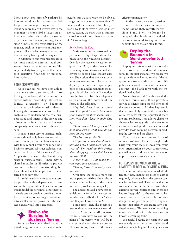know about Bob himself? Perhaps his boss turned down his request, and Bob forged his manager's signature. This might be more likely if it were left to the manager to track Bob's vacation allowance rather than the personnel department. In this case, we might consider a more careful verification of the request, such as a (synchronous) telephone call to Bob's manager to ensure that she really had signed the request.

In addition to our own business rules, we must consider external legal constraints that may be imposed on us. This is particularly true in systems that maintain sensitive financial or personal information.

#### SOME OBSERVATIONS

As you can see, we have been able to ask some useful questions, which are helping us understand the nature of the service without descending into technological discussions or becoming distracted by implementation details. Keeping the discussion at a business level enables us to understand the true business value and intent of the service and allows us to investigate any business complexity independent of technical issues.

In fact, a true service-oriented architecture should only have services with a direct counterpart in the business; otherwise they cannot possibly be modeling a business process. Abstract technical concepts, such as a "data service" or a "replication service," don't make any sense in business terms. (There may be shared modules or libraries to provide common technical functionality, but these should not be implemented or referred to as services.)

A useful heuristic is to equate a service provider with a department or team within the organization. For instance, we might model the personnel department as a single service provider offering a number of services, or we might partition it into smaller service providers if the services naturally fall into categories.

#### **Evolve the Service in Business Terms**

So far we have only talked about the initial design of a service-oriented architecture, but we also want to be able to change and adapt services over time. To understand the issues involved here, it is useful to look at why a service might evolve. Again, we start with a businessfocused scenario and then map it into SOA terminology.

#### *Susie Saves the Day*

Susie works in the personnel department of Big Corporation, Inc. processing the vacation requests. One day she receives a vacation request from Bob, so she looks up his remaining leave allowance and discovers he doesn't have enough days left. She notices that the vacation is imminent—he wants to leave in two days. By the time the response gets back to him and he resubmits the request, it will be too late. She notices that he has scribbled his telephone extension on the bottom of the form, so she calls him.

*Hey Bob, Susie from personnel here. I'm afraid I have to turn down your request for three weeks' vacation; you don't have enough days left.*

*Three weeks? I only meant to book two weeks! What dates do you have on that form?*

*The 1st through the 21st.*

*Oh gee, sorry, that should say 1st through 14th. I must have been distracted. I'm reading this article about the flying cars we'll all have in the year 2000.*

*Never mind. I'll approve this; you enjoy your vacation.*

*Thanks, Susie. You really saved the day!*

Over time she notices more and more people writing their phone numbers on the form, so she is able to resolve problems more quickly.

She decides to add a new, optional field on the form for the extension number and calls the form "Vacation Request Form version 2."

Some time later, she receives a memo about a new management directive. Apparently all vacation requests now have to contain the name of the person who will be in charge in the vacationer's absence. No exceptions, those are the rules, effective immediately.

So she creates a new form, version 3, and sends out an all-company memo saying that, regretfully, versions 1 and 2 will no longer be accepted. She also drafts a standard response to send to anyone who submits any of the old-style forms.

#### **Replay the Scenario in Service-oriented Terms**

Replaying this scenario, we see the service evolve twice, and for different reasons. In the first instance, we realize we can provide an enhanced service if the request has some additional data. We publish a second version of the service contract—the blank form with the optional field added.

Notice that we didn't withdraw all the version 1 forms. We still can provide a service to clients using the old version of the service contract. All that happens is that we gracefully degrade the service because we can't call the requester if there are any problems. This allows clients to choose when to upgrade to the new service contract and get the new features and provides loose coupling between upgrading the service and the clients.

This is the most common form of service evolution. Either through feedback from your users or ideas from your own organization or your competitors, you will want to add new functionality or improvements to your services.

#### BE RESPONSIBLE WHEN MAKING A CHANGE THAT BREAKS EXISTING CLIENTS

The second situation is somewhat different. A new, mandatory piece of data is required, without which the service cannot be implemented. This means that no consumers can use the service with their existing service contract and everyone has to "upgrade" to the new form. Because we are responsible service designers, we provide an error response rather than silently discarding any outdated requests. This strategy of providing immediate feedback to the consumer is known as "failing fast."

It is useful because the client now can see exactly why the request failed (and will continue failing until he upgrades his